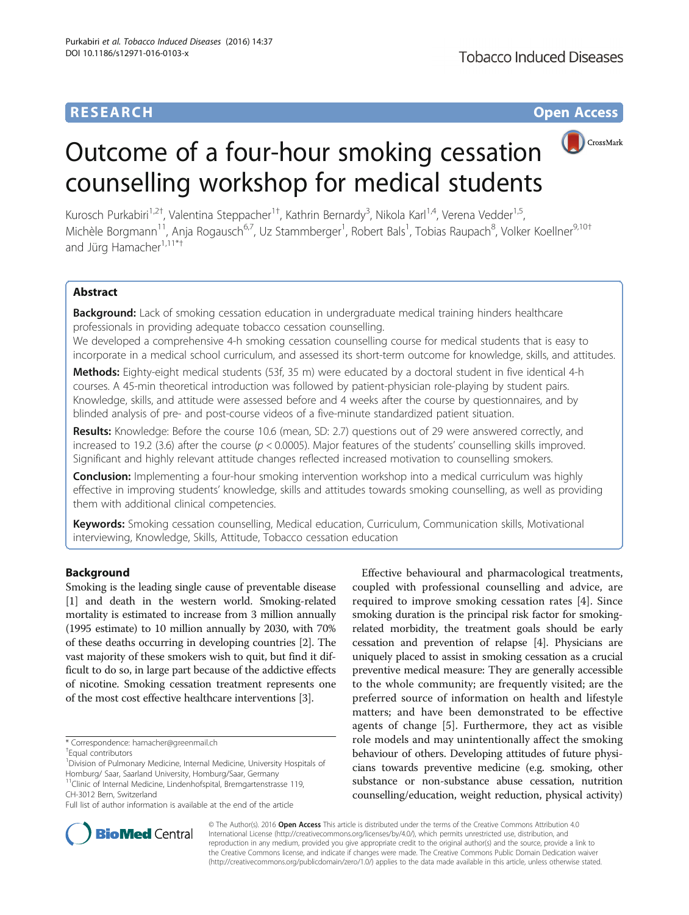## **RESEARCH CHINESE ARCH CHINESE ARCH CHINESE ARCH <b>CHINESE ARCH CHINESE ARCH CHINESE ARCH <b>CHINESE** ARCH **CHINESE ARCH** CHINESE ARCH **CHINESE ARCH** CHINESE ARCH **CHINESE ARCH 2014**

**Tobacco Induced Diseases** 

CrossMark

# Outcome of a four-hour smoking cessation counselling workshop for medical students

Kurosch Purkabiri<sup>1,2†</sup>, Valentina Steppacher<sup>1†</sup>, Kathrin Bernardy<sup>3</sup>, Nikola Karl<sup>1,4</sup>, Verena Vedder<sup>1,5</sup>, Michèle Borgmann<sup>11</sup>, Anja Rogausch<sup>6,7</sup>, Uz Stammberger<sup>1</sup>, Robert Bals<sup>1</sup>, Tobias Raupach<sup>8</sup>, Volker Koellner<sup>9,10†</sup> and Jürg Hamacher<sup>1,11\*+</sup>

## Abstract

**Background:** Lack of smoking cessation education in undergraduate medical training hinders healthcare professionals in providing adequate tobacco cessation counselling.

We developed a comprehensive 4-h smoking cessation counselling course for medical students that is easy to incorporate in a medical school curriculum, and assessed its short-term outcome for knowledge, skills, and attitudes.

Methods: Eighty-eight medical students (53f, 35 m) were educated by a doctoral student in five identical 4-h courses. A 45-min theoretical introduction was followed by patient-physician role-playing by student pairs. Knowledge, skills, and attitude were assessed before and 4 weeks after the course by questionnaires, and by blinded analysis of pre- and post-course videos of a five-minute standardized patient situation.

Results: Knowledge: Before the course 10.6 (mean, SD: 2.7) questions out of 29 were answered correctly, and increased to 19.2 (3.6) after the course ( $p < 0.0005$ ). Major features of the students' counselling skills improved. Significant and highly relevant attitude changes reflected increased motivation to counselling smokers.

**Conclusion:** Implementing a four-hour smoking intervention workshop into a medical curriculum was highly effective in improving students' knowledge, skills and attitudes towards smoking counselling, as well as providing them with additional clinical competencies.

Keywords: Smoking cessation counselling, Medical education, Curriculum, Communication skills, Motivational interviewing, Knowledge, Skills, Attitude, Tobacco cessation education

## Background

Smoking is the leading single cause of preventable disease [[1\]](#page-6-0) and death in the western world. Smoking-related mortality is estimated to increase from 3 million annually (1995 estimate) to 10 million annually by 2030, with 70% of these deaths occurring in developing countries [[2](#page-6-0)]. The vast majority of these smokers wish to quit, but find it difficult to do so, in large part because of the addictive effects of nicotine. Smoking cessation treatment represents one of the most cost effective healthcare interventions [\[3](#page-6-0)].

<sup>11</sup>Clinic of Internal Medicine, Lindenhofspital, Bremgartenstrasse 119, CH-3012 Bern, Switzerland

Effective behavioural and pharmacological treatments, coupled with professional counselling and advice, are required to improve smoking cessation rates [[4](#page-6-0)]. Since smoking duration is the principal risk factor for smokingrelated morbidity, the treatment goals should be early cessation and prevention of relapse [\[4](#page-6-0)]. Physicians are uniquely placed to assist in smoking cessation as a crucial preventive medical measure: They are generally accessible to the whole community; are frequently visited; are the preferred source of information on health and lifestyle matters; and have been demonstrated to be effective agents of change [[5\]](#page-6-0). Furthermore, they act as visible role models and may unintentionally affect the smoking behaviour of others. Developing attitudes of future physicians towards preventive medicine (e.g. smoking, other substance or non-substance abuse cessation, nutrition counselling/education, weight reduction, physical activity)



© The Author(s). 2016 Open Access This article is distributed under the terms of the Creative Commons Attribution 4.0 International License [\(http://creativecommons.org/licenses/by/4.0/](http://creativecommons.org/licenses/by/4.0/)), which permits unrestricted use, distribution, and reproduction in any medium, provided you give appropriate credit to the original author(s) and the source, provide a link to the Creative Commons license, and indicate if changes were made. The Creative Commons Public Domain Dedication waiver [\(http://creativecommons.org/publicdomain/zero/1.0/](http://creativecommons.org/publicdomain/zero/1.0/)) applies to the data made available in this article, unless otherwise stated.

<sup>\*</sup> Correspondence: [hamacher@greenmail.ch](mailto:hamacher@greenmail.ch) †

Equal contributors

<sup>&</sup>lt;sup>1</sup> Division of Pulmonary Medicine, Internal Medicine, University Hospitals of Homburg/ Saar, Saarland University, Homburg/Saar, Germany

Full list of author information is available at the end of the article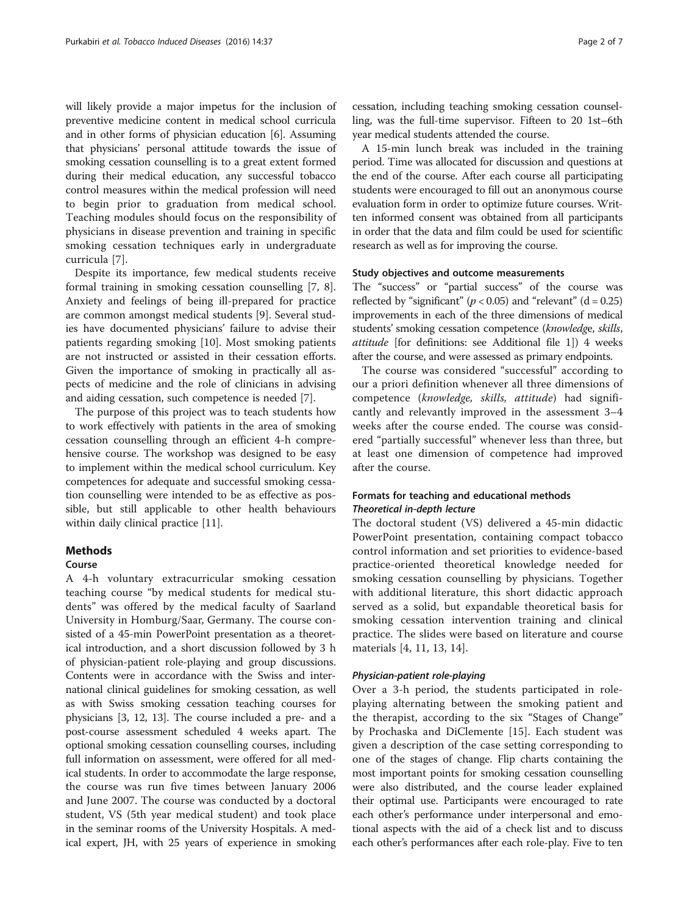will likely provide a major impetus for the inclusion of preventive medicine content in medical school curricula and in other forms of physician education [[6\]](#page-6-0). Assuming that physicians' personal attitude towards the issue of smoking cessation counselling is to a great extent formed during their medical education, any successful tobacco control measures within the medical profession will need to begin prior to graduation from medical school. Teaching modules should focus on the responsibility of physicians in disease prevention and training in specific smoking cessation techniques early in undergraduate curricula [[7\]](#page-6-0).

Despite its importance, few medical students receive formal training in smoking cessation counselling [\[7, 8](#page-6-0)]. Anxiety and feelings of being ill-prepared for practice are common amongst medical students [\[9](#page-6-0)]. Several studies have documented physicians' failure to advise their patients regarding smoking [\[10](#page-6-0)]. Most smoking patients are not instructed or assisted in their cessation efforts. Given the importance of smoking in practically all aspects of medicine and the role of clinicians in advising and aiding cessation, such competence is needed [[7\]](#page-6-0).

The purpose of this project was to teach students how to work effectively with patients in the area of smoking cessation counselling through an efficient 4-h comprehensive course. The workshop was designed to be easy to implement within the medical school curriculum. Key competences for adequate and successful smoking cessation counselling were intended to be as effective as possible, but still applicable to other health behaviours within daily clinical practice [[11](#page-6-0)].

## Methods

## Course

A 4-h voluntary extracurricular smoking cessation teaching course "by medical students for medical students" was offered by the medical faculty of Saarland University in Homburg/Saar, Germany. The course consisted of a 45-min PowerPoint presentation as a theoretical introduction, and a short discussion followed by 3 h of physician-patient role-playing and group discussions. Contents were in accordance with the Swiss and international clinical guidelines for smoking cessation, as well as with Swiss smoking cessation teaching courses for physicians [[3, 12](#page-6-0), [13\]](#page-6-0). The course included a pre- and a post-course assessment scheduled 4 weeks apart. The optional smoking cessation counselling courses, including full information on assessment, were offered for all medical students. In order to accommodate the large response, the course was run five times between January 2006 and June 2007. The course was conducted by a doctoral student, VS (5th year medical student) and took place in the seminar rooms of the University Hospitals. A medical expert, JH, with 25 years of experience in smoking

cessation, including teaching smoking cessation counselling, was the full-time supervisor. Fifteen to 20 1st–6th year medical students attended the course.

A 15-min lunch break was included in the training period. Time was allocated for discussion and questions at the end of the course. After each course all participating students were encouraged to fill out an anonymous course evaluation form in order to optimize future courses. Written informed consent was obtained from all participants in order that the data and film could be used for scientific research as well as for improving the course.

#### Study objectives and outcome measurements

The "success" or "partial success" of the course was reflected by "significant" ( $p < 0.05$ ) and "relevant" (d = 0.25) improvements in each of the three dimensions of medical students' smoking cessation competence (knowledge, skills, attitude [for definitions: see Additional file [1\]](#page-5-0)) 4 weeks after the course, and were assessed as primary endpoints.

The course was considered "successful" according to our a priori definition whenever all three dimensions of competence (knowledge, skills, attitude) had significantly and relevantly improved in the assessment 3–4 weeks after the course ended. The course was considered "partially successful" whenever less than three, but at least one dimension of competence had improved after the course.

## Formats for teaching and educational methods Theoretical in-depth lecture

The doctoral student (VS) delivered a 45-min didactic PowerPoint presentation, containing compact tobacco control information and set priorities to evidence-based practice-oriented theoretical knowledge needed for smoking cessation counselling by physicians. Together with additional literature, this short didactic approach served as a solid, but expandable theoretical basis for smoking cessation intervention training and clinical practice. The slides were based on literature and course materials [[4, 11, 13](#page-6-0), [14](#page-6-0)].

#### Physician-patient role-playing

Over a 3-h period, the students participated in roleplaying alternating between the smoking patient and the therapist, according to the six "Stages of Change" by Prochaska and DiClemente [[15](#page-6-0)]. Each student was given a description of the case setting corresponding to one of the stages of change. Flip charts containing the most important points for smoking cessation counselling were also distributed, and the course leader explained their optimal use. Participants were encouraged to rate each other's performance under interpersonal and emotional aspects with the aid of a check list and to discuss each other's performances after each role-play. Five to ten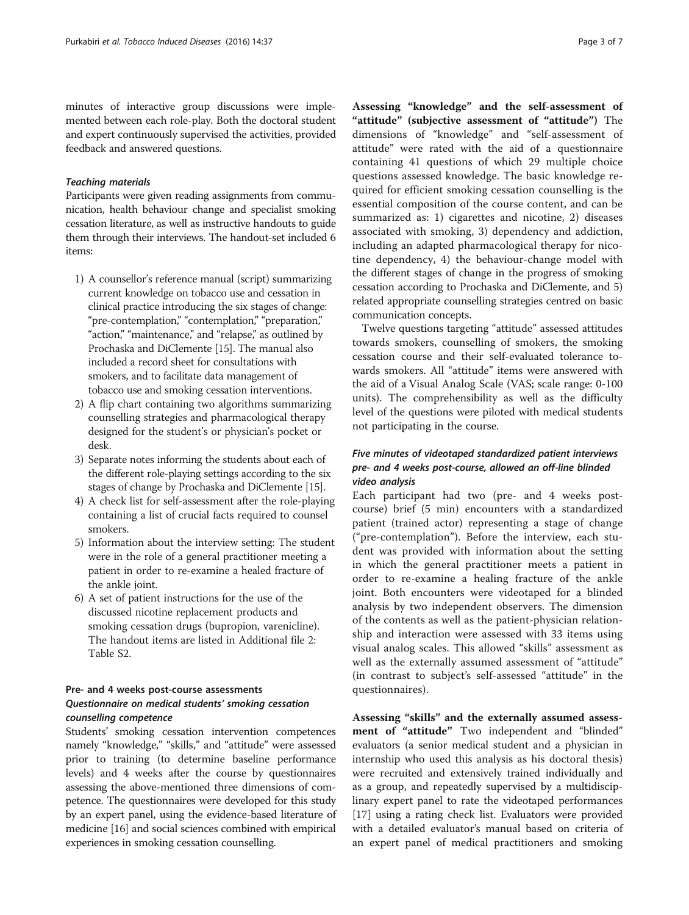minutes of interactive group discussions were implemented between each role-play. Both the doctoral student and expert continuously supervised the activities, provided feedback and answered questions.

#### Teaching materials

Participants were given reading assignments from communication, health behaviour change and specialist smoking cessation literature, as well as instructive handouts to guide them through their interviews. The handout-set included 6 items:

- 1) A counsellor's reference manual (script) summarizing current knowledge on tobacco use and cessation in clinical practice introducing the six stages of change: "pre-contemplation," "contemplation," "preparation," "action," "maintenance," and "relapse," as outlined by Prochaska and DiClemente [[15](#page-6-0)]. The manual also included a record sheet for consultations with smokers, and to facilitate data management of tobacco use and smoking cessation interventions.
- 2) A flip chart containing two algorithms summarizing counselling strategies and pharmacological therapy designed for the student's or physician's pocket or desk.
- 3) Separate notes informing the students about each of the different role-playing settings according to the six stages of change by Prochaska and DiClemente [\[15\]](#page-6-0).
- 4) A check list for self-assessment after the role-playing containing a list of crucial facts required to counsel smokers.
- 5) Information about the interview setting: The student were in the role of a general practitioner meeting a patient in order to re-examine a healed fracture of the ankle joint.
- 6) A set of patient instructions for the use of the discussed nicotine replacement products and smoking cessation drugs (bupropion, varenicline). The handout items are listed in Additional file [2](#page-5-0): Table S2.

## Pre- and 4 weeks post-course assessments Questionnaire on medical students' smoking cessation counselling competence

Students' smoking cessation intervention competences namely "knowledge," "skills," and "attitude" were assessed prior to training (to determine baseline performance levels) and 4 weeks after the course by questionnaires assessing the above-mentioned three dimensions of competence. The questionnaires were developed for this study by an expert panel, using the evidence-based literature of medicine [[16](#page-6-0)] and social sciences combined with empirical experiences in smoking cessation counselling.

Assessing "knowledge" and the self-assessment of "attitude" (subjective assessment of "attitude") The dimensions of "knowledge" and "self-assessment of attitude" were rated with the aid of a questionnaire containing 41 questions of which 29 multiple choice questions assessed knowledge. The basic knowledge required for efficient smoking cessation counselling is the essential composition of the course content, and can be summarized as: 1) cigarettes and nicotine, 2) diseases associated with smoking, 3) dependency and addiction, including an adapted pharmacological therapy for nicotine dependency, 4) the behaviour-change model with the different stages of change in the progress of smoking cessation according to Prochaska and DiClemente, and 5) related appropriate counselling strategies centred on basic communication concepts.

Twelve questions targeting "attitude" assessed attitudes towards smokers, counselling of smokers, the smoking cessation course and their self-evaluated tolerance towards smokers. All "attitude" items were answered with the aid of a Visual Analog Scale (VAS; scale range: 0-100 units). The comprehensibility as well as the difficulty level of the questions were piloted with medical students not participating in the course.

## Five minutes of videotaped standardized patient interviews pre- and 4 weeks post-course, allowed an off-line blinded video analysis

Each participant had two (pre- and 4 weeks postcourse) brief (5 min) encounters with a standardized patient (trained actor) representing a stage of change ("pre-contemplation"). Before the interview, each student was provided with information about the setting in which the general practitioner meets a patient in order to re-examine a healing fracture of the ankle joint. Both encounters were videotaped for a blinded analysis by two independent observers. The dimension of the contents as well as the patient-physician relationship and interaction were assessed with 33 items using visual analog scales. This allowed "skills" assessment as well as the externally assumed assessment of "attitude" (in contrast to subject's self-assessed "attitude" in the questionnaires).

Assessing "skills" and the externally assumed assessment of "attitude" Two independent and "blinded" evaluators (a senior medical student and a physician in internship who used this analysis as his doctoral thesis) were recruited and extensively trained individually and as a group, and repeatedly supervised by a multidisciplinary expert panel to rate the videotaped performances [[17\]](#page-6-0) using a rating check list. Evaluators were provided with a detailed evaluator's manual based on criteria of an expert panel of medical practitioners and smoking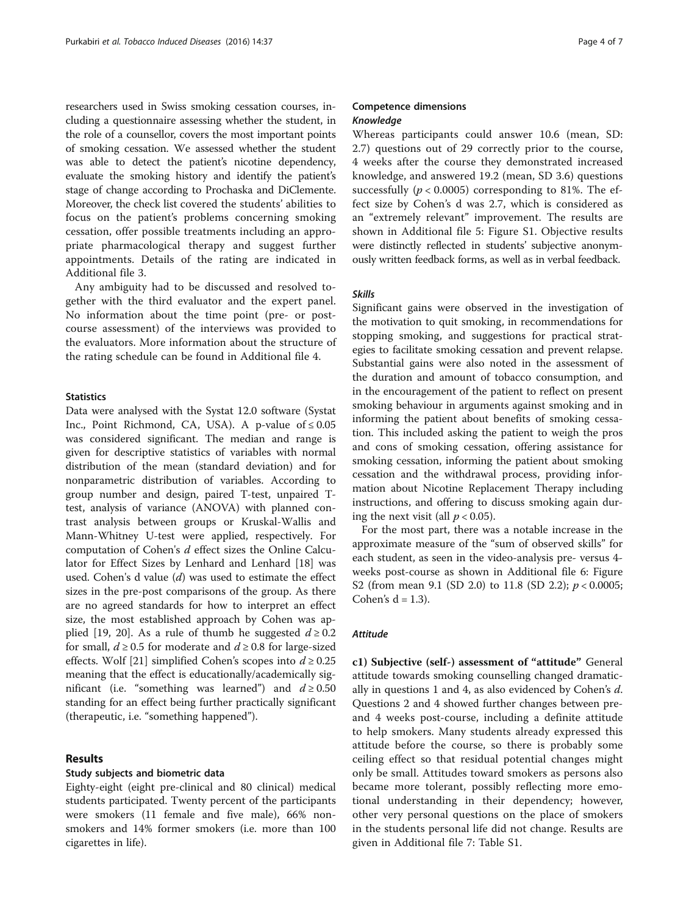researchers used in Swiss smoking cessation courses, including a questionnaire assessing whether the student, in the role of a counsellor, covers the most important points of smoking cessation. We assessed whether the student was able to detect the patient's nicotine dependency, evaluate the smoking history and identify the patient's stage of change according to Prochaska and DiClemente. Moreover, the check list covered the students' abilities to focus on the patient's problems concerning smoking cessation, offer possible treatments including an appropriate pharmacological therapy and suggest further appointments. Details of the rating are indicated in Additional file [3](#page-5-0).

Any ambiguity had to be discussed and resolved together with the third evaluator and the expert panel. No information about the time point (pre- or postcourse assessment) of the interviews was provided to the evaluators. More information about the structure of the rating schedule can be found in Additional file [4](#page-5-0).

#### **Statistics**

Data were analysed with the Systat 12.0 software (Systat Inc., Point Richmond, CA, USA). A p-value of  $\leq 0.05$ was considered significant. The median and range is given for descriptive statistics of variables with normal distribution of the mean (standard deviation) and for nonparametric distribution of variables. According to group number and design, paired T-test, unpaired Ttest, analysis of variance (ANOVA) with planned contrast analysis between groups or Kruskal-Wallis and Mann-Whitney U-test were applied, respectively. For computation of Cohen's d effect sizes the Online Calculator for Effect Sizes by Lenhard and Lenhard [\[18](#page-6-0)] was used. Cohen's d value (d) was used to estimate the effect sizes in the pre-post comparisons of the group. As there are no agreed standards for how to interpret an effect size, the most established approach by Cohen was ap-plied [[19, 20\]](#page-6-0). As a rule of thumb he suggested  $d \ge 0.2$ for small,  $d \ge 0.5$  for moderate and  $d \ge 0.8$  for large-sized effects. Wolf [\[21\]](#page-6-0) simplified Cohen's scopes into  $d \ge 0.25$ meaning that the effect is educationally/academically significant (i.e. "something was learned") and  $d \ge 0.50$ standing for an effect being further practically significant (therapeutic, i.e. "something happened").

#### Results

#### Study subjects and biometric data

Eighty-eight (eight pre-clinical and 80 clinical) medical students participated. Twenty percent of the participants were smokers (11 female and five male), 66% nonsmokers and 14% former smokers (i.e. more than 100 cigarettes in life).

## Competence dimensions Knowledge

Whereas participants could answer 10.6 (mean, SD: 2.7) questions out of 29 correctly prior to the course, 4 weeks after the course they demonstrated increased knowledge, and answered 19.2 (mean, SD 3.6) questions successfully ( $p < 0.0005$ ) corresponding to 81%. The effect size by Cohen's d was 2.7, which is considered as an "extremely relevant" improvement. The results are shown in Additional file [5](#page-5-0): Figure S1. Objective results were distinctly reflected in students' subjective anonymously written feedback forms, as well as in verbal feedback.

#### Skills

Significant gains were observed in the investigation of the motivation to quit smoking, in recommendations for stopping smoking, and suggestions for practical strategies to facilitate smoking cessation and prevent relapse. Substantial gains were also noted in the assessment of the duration and amount of tobacco consumption, and in the encouragement of the patient to reflect on present smoking behaviour in arguments against smoking and in informing the patient about benefits of smoking cessation. This included asking the patient to weigh the pros and cons of smoking cessation, offering assistance for smoking cessation, informing the patient about smoking cessation and the withdrawal process, providing information about Nicotine Replacement Therapy including instructions, and offering to discuss smoking again during the next visit (all  $p < 0.05$ ).

For the most part, there was a notable increase in the approximate measure of the "sum of observed skills" for each student, as seen in the video-analysis pre- versus 4 weeks post-course as shown in Additional file [6:](#page-5-0) Figure S2 (from mean 9.1 (SD 2.0) to 11.8 (SD 2.2);  $p < 0.0005$ ; Cohen's  $d = 1.3$ ).

#### Attitude

c1) Subjective (self-) assessment of "attitude" General attitude towards smoking counselling changed dramatically in questions 1 and 4, as also evidenced by Cohen's  $d$ . Questions 2 and 4 showed further changes between preand 4 weeks post-course, including a definite attitude to help smokers. Many students already expressed this attitude before the course, so there is probably some ceiling effect so that residual potential changes might only be small. Attitudes toward smokers as persons also became more tolerant, possibly reflecting more emotional understanding in their dependency; however, other very personal questions on the place of smokers in the students personal life did not change. Results are given in Additional file [7](#page-5-0): Table S1.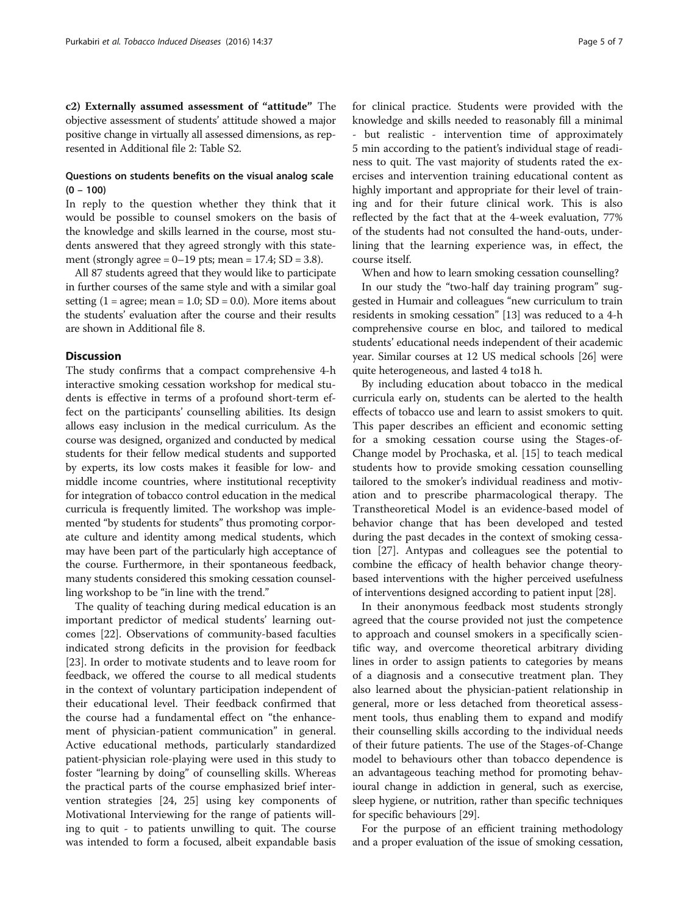c2) Externally assumed assessment of "attitude" The objective assessment of students' attitude showed a major positive change in virtually all assessed dimensions, as represented in Additional file [2](#page-5-0): Table S2.

## Questions on students benefits on the visual analog scale  $(0 - 100)$

In reply to the question whether they think that it would be possible to counsel smokers on the basis of the knowledge and skills learned in the course, most students answered that they agreed strongly with this statement (strongly agree =  $0-19$  pts; mean =  $17.4$ ; SD =  $3.8$ ).

All 87 students agreed that they would like to participate in further courses of the same style and with a similar goal setting  $(1 = \text{agree}; \text{mean} = 1.0; SD = 0.0)$ . More items about the students' evaluation after the course and their results are shown in Additional file [8](#page-5-0).

#### **Discussion**

The study confirms that a compact comprehensive 4-h interactive smoking cessation workshop for medical students is effective in terms of a profound short-term effect on the participants' counselling abilities. Its design allows easy inclusion in the medical curriculum. As the course was designed, organized and conducted by medical students for their fellow medical students and supported by experts, its low costs makes it feasible for low- and middle income countries, where institutional receptivity for integration of tobacco control education in the medical curricula is frequently limited. The workshop was implemented "by students for students" thus promoting corporate culture and identity among medical students, which may have been part of the particularly high acceptance of the course. Furthermore, in their spontaneous feedback, many students considered this smoking cessation counselling workshop to be "in line with the trend."

The quality of teaching during medical education is an important predictor of medical students' learning outcomes [[22\]](#page-6-0). Observations of community-based faculties indicated strong deficits in the provision for feedback [[23\]](#page-6-0). In order to motivate students and to leave room for feedback, we offered the course to all medical students in the context of voluntary participation independent of their educational level. Their feedback confirmed that the course had a fundamental effect on "the enhancement of physician-patient communication" in general. Active educational methods, particularly standardized patient-physician role-playing were used in this study to foster "learning by doing" of counselling skills. Whereas the practical parts of the course emphasized brief intervention strategies [[24, 25\]](#page-6-0) using key components of Motivational Interviewing for the range of patients willing to quit - to patients unwilling to quit. The course was intended to form a focused, albeit expandable basis for clinical practice. Students were provided with the knowledge and skills needed to reasonably fill a minimal - but realistic - intervention time of approximately 5 min according to the patient's individual stage of readiness to quit. The vast majority of students rated the exercises and intervention training educational content as highly important and appropriate for their level of training and for their future clinical work. This is also reflected by the fact that at the 4-week evaluation, 77% of the students had not consulted the hand-outs, underlining that the learning experience was, in effect, the course itself.

When and how to learn smoking cessation counselling?

In our study the "two-half day training program" suggested in Humair and colleagues "new curriculum to train residents in smoking cessation" [\[13](#page-6-0)] was reduced to a 4-h comprehensive course en bloc, and tailored to medical students' educational needs independent of their academic year. Similar courses at 12 US medical schools [\[26\]](#page-6-0) were quite heterogeneous, and lasted 4 to18 h.

By including education about tobacco in the medical curricula early on, students can be alerted to the health effects of tobacco use and learn to assist smokers to quit. This paper describes an efficient and economic setting for a smoking cessation course using the Stages-of-Change model by Prochaska, et al. [\[15\]](#page-6-0) to teach medical students how to provide smoking cessation counselling tailored to the smoker's individual readiness and motivation and to prescribe pharmacological therapy. The Transtheoretical Model is an evidence-based model of behavior change that has been developed and tested during the past decades in the context of smoking cessation [[27\]](#page-6-0). Antypas and colleagues see the potential to combine the efficacy of health behavior change theorybased interventions with the higher perceived usefulness of interventions designed according to patient input [[28\]](#page-6-0).

In their anonymous feedback most students strongly agreed that the course provided not just the competence to approach and counsel smokers in a specifically scientific way, and overcome theoretical arbitrary dividing lines in order to assign patients to categories by means of a diagnosis and a consecutive treatment plan. They also learned about the physician-patient relationship in general, more or less detached from theoretical assessment tools, thus enabling them to expand and modify their counselling skills according to the individual needs of their future patients. The use of the Stages-of-Change model to behaviours other than tobacco dependence is an advantageous teaching method for promoting behavioural change in addiction in general, such as exercise, sleep hygiene, or nutrition, rather than specific techniques for specific behaviours [[29](#page-6-0)].

For the purpose of an efficient training methodology and a proper evaluation of the issue of smoking cessation,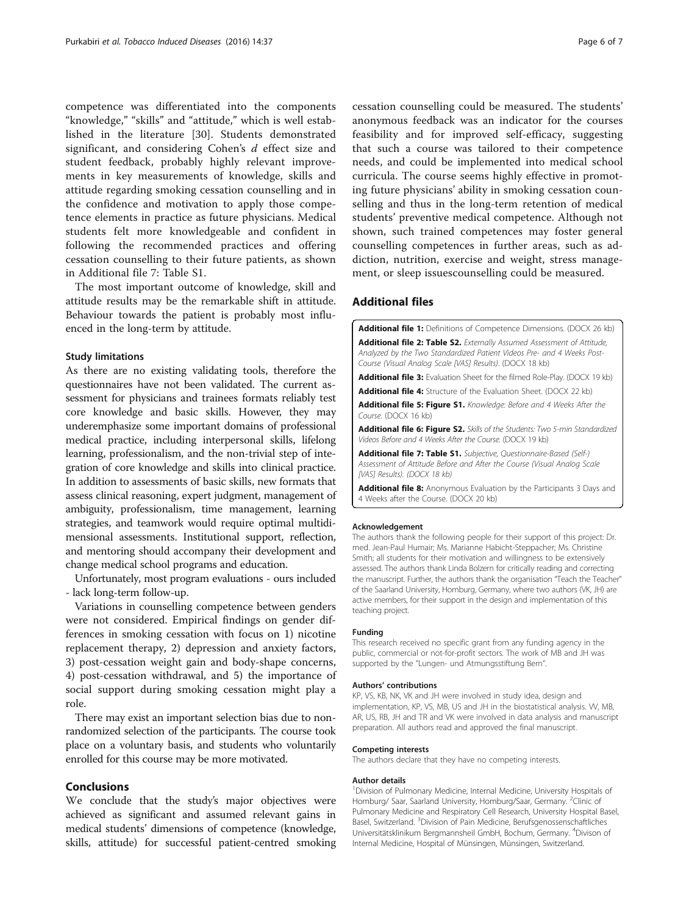<span id="page-5-0"></span>competence was differentiated into the components "knowledge," "skills" and "attitude," which is well established in the literature [[30\]](#page-6-0). Students demonstrated significant, and considering Cohen's d effect size and student feedback, probably highly relevant improvements in key measurements of knowledge, skills and attitude regarding smoking cessation counselling and in the confidence and motivation to apply those competence elements in practice as future physicians. Medical students felt more knowledgeable and confident in following the recommended practices and offering cessation counselling to their future patients, as shown in Additional file 7: Table S1.

The most important outcome of knowledge, skill and attitude results may be the remarkable shift in attitude. Behaviour towards the patient is probably most influenced in the long-term by attitude.

#### Study limitations

As there are no existing validating tools, therefore the questionnaires have not been validated. The current assessment for physicians and trainees formats reliably test core knowledge and basic skills. However, they may underemphasize some important domains of professional medical practice, including interpersonal skills, lifelong learning, professionalism, and the non-trivial step of integration of core knowledge and skills into clinical practice. In addition to assessments of basic skills, new formats that assess clinical reasoning, expert judgment, management of ambiguity, professionalism, time management, learning strategies, and teamwork would require optimal multidimensional assessments. Institutional support, reflection, and mentoring should accompany their development and change medical school programs and education.

Unfortunately, most program evaluations - ours included - lack long-term follow-up.

Variations in counselling competence between genders were not considered. Empirical findings on gender differences in smoking cessation with focus on 1) nicotine replacement therapy, 2) depression and anxiety factors, 3) post-cessation weight gain and body-shape concerns, 4) post-cessation withdrawal, and 5) the importance of social support during smoking cessation might play a role.

There may exist an important selection bias due to nonrandomized selection of the participants. The course took place on a voluntary basis, and students who voluntarily enrolled for this course may be more motivated.

## Conclusions

We conclude that the study's major objectives were achieved as significant and assumed relevant gains in medical students' dimensions of competence (knowledge, skills, attitude) for successful patient-centred smoking cessation counselling could be measured. The students' anonymous feedback was an indicator for the courses feasibility and for improved self-efficacy, suggesting that such a course was tailored to their competence needs, and could be implemented into medical school curricula. The course seems highly effective in promoting future physicians' ability in smoking cessation counselling and thus in the long-term retention of medical students' preventive medical competence. Although not shown, such trained competences may foster general counselling competences in further areas, such as addiction, nutrition, exercise and weight, stress management, or sleep issuescounselling could be measured.

## Additional files

[Additional file 1:](dx.doi.org/10.1186/s12971-016-0103-x) Definitions of Competence Dimensions. (DOCX 26 kb) [Additional file 2: Table S2.](dx.doi.org/10.1186/s12971-016-0103-x) Externally Assumed Assessment of Attitude, Analyzed by the Two Standardized Patient Videos Pre- and 4 Weeks Post-Course (Visual Analoa Scale IVASI Results). (DOCX 18 kb)

[Additional file 3:](dx.doi.org/10.1186/s12971-016-0103-x) Evaluation Sheet for the filmed Role-Play. (DOCX 19 kb)

[Additional file 4:](dx.doi.org/10.1186/s12971-016-0103-x) Structure of the Evaluation Sheet. (DOCX 22 kb)

[Additional file 5: Figure S1.](dx.doi.org/10.1186/s12971-016-0103-x) Knowledge: Before and 4 Weeks After the Course. (DOCX 16 kb)

[Additional file 6: Figure S2.](dx.doi.org/10.1186/s12971-016-0103-x) Skills of the Students: Two 5-min Standardized Videos Before and 4 Weeks After the Course. (DOCX 19 kb)

[Additional file 7: Table S1.](dx.doi.org/10.1186/s12971-016-0103-x) Subjective, Questionnaire-Based (Self-) Assessment of Attitude Before and After the Course (Visual Analog Scale [VAS] Results). (DOCX 18 kb)

[Additional file 8:](dx.doi.org/10.1186/s12971-016-0103-x) Anonymous Evaluation by the Participants 3 Days and 4 Weeks after the Course. (DOCX 20 kb)

#### Acknowledgement

The authors thank the following people for their support of this project: Dr. med. Jean-Paul Humair; Ms. Marianne Habicht-Steppacher; Ms. Christine Smith; all students for their motivation and willingness to be extensively assessed. The authors thank Linda Bolzern for critically reading and correcting the manuscript. Further, the authors thank the organisation "Teach the Teacher" of the Saarland University, Homburg, Germany, where two authors (VK, JH) are active members, for their support in the design and implementation of this teaching project.

#### Funding

This research received no specific grant from any funding agency in the public, commercial or not-for-profit sectors. The work of MB and JH was supported by the "Lungen- und Atmungsstiftung Bern".

#### Authors' contributions

KP, VS, KB, NK, VK and JH were involved in study idea, design and implementation, KP, VS, MB, US and JH in the biostatistical analysis. W, MB, AR, US, RB, JH and TR and VK were involved in data analysis and manuscript preparation. All authors read and approved the final manuscript.

#### Competing interests

The authors declare that they have no competing interests.

#### Author details

<sup>1</sup> Division of Pulmonary Medicine, Internal Medicine, University Hospitals of Homburg/ Saar, Saarland University, Homburg/Saar, Germany. <sup>2</sup>Clinic of Pulmonary Medicine and Respiratory Cell Research, University Hospital Basel, Basel, Switzerland. <sup>3</sup> Division of Pain Medicine, Berufsgenossenschaftliches Universitätsklinikum Bergmannsheil GmbH, Bochum, Germany. <sup>4</sup> Divison of Internal Medicine, Hospital of Münsingen, Münsingen, Switzerland.